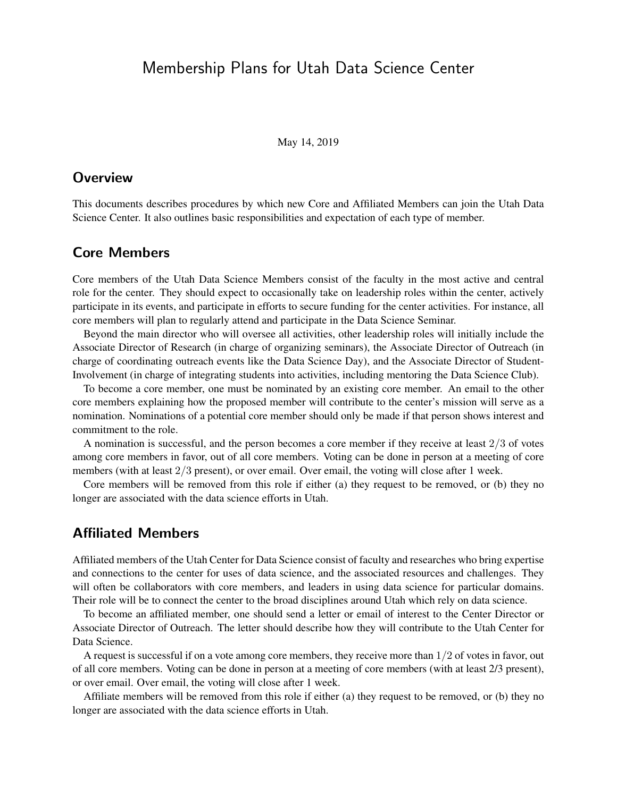# Membership Plans for Utah Data Science Center

May 14, 2019

## **Overview**

This documents describes procedures by which new Core and Affiliated Members can join the Utah Data Science Center. It also outlines basic responsibilities and expectation of each type of member.

#### Core Members

Core members of the Utah Data Science Members consist of the faculty in the most active and central role for the center. They should expect to occasionally take on leadership roles within the center, actively participate in its events, and participate in efforts to secure funding for the center activities. For instance, all core members will plan to regularly attend and participate in the Data Science Seminar.

Beyond the main director who will oversee all activities, other leadership roles will initially include the Associate Director of Research (in charge of organizing seminars), the Associate Director of Outreach (in charge of coordinating outreach events like the Data Science Day), and the Associate Director of Student-Involvement (in charge of integrating students into activities, including mentoring the Data Science Club).

To become a core member, one must be nominated by an existing core member. An email to the other core members explaining how the proposed member will contribute to the center's mission will serve as a nomination. Nominations of a potential core member should only be made if that person shows interest and commitment to the role.

A nomination is successful, and the person becomes a core member if they receive at least 2/3 of votes among core members in favor, out of all core members. Voting can be done in person at a meeting of core members (with at least  $2/3$  present), or over email. Over email, the voting will close after 1 week.

Core members will be removed from this role if either (a) they request to be removed, or (b) they no longer are associated with the data science efforts in Utah.

## Affiliated Members

Affiliated members of the Utah Center for Data Science consist of faculty and researches who bring expertise and connections to the center for uses of data science, and the associated resources and challenges. They will often be collaborators with core members, and leaders in using data science for particular domains. Their role will be to connect the center to the broad disciplines around Utah which rely on data science.

To become an affiliated member, one should send a letter or email of interest to the Center Director or Associate Director of Outreach. The letter should describe how they will contribute to the Utah Center for Data Science.

A request is successful if on a vote among core members, they receive more than 1/2 of votes in favor, out of all core members. Voting can be done in person at a meeting of core members (with at least 2/3 present), or over email. Over email, the voting will close after 1 week.

Affiliate members will be removed from this role if either (a) they request to be removed, or (b) they no longer are associated with the data science efforts in Utah.